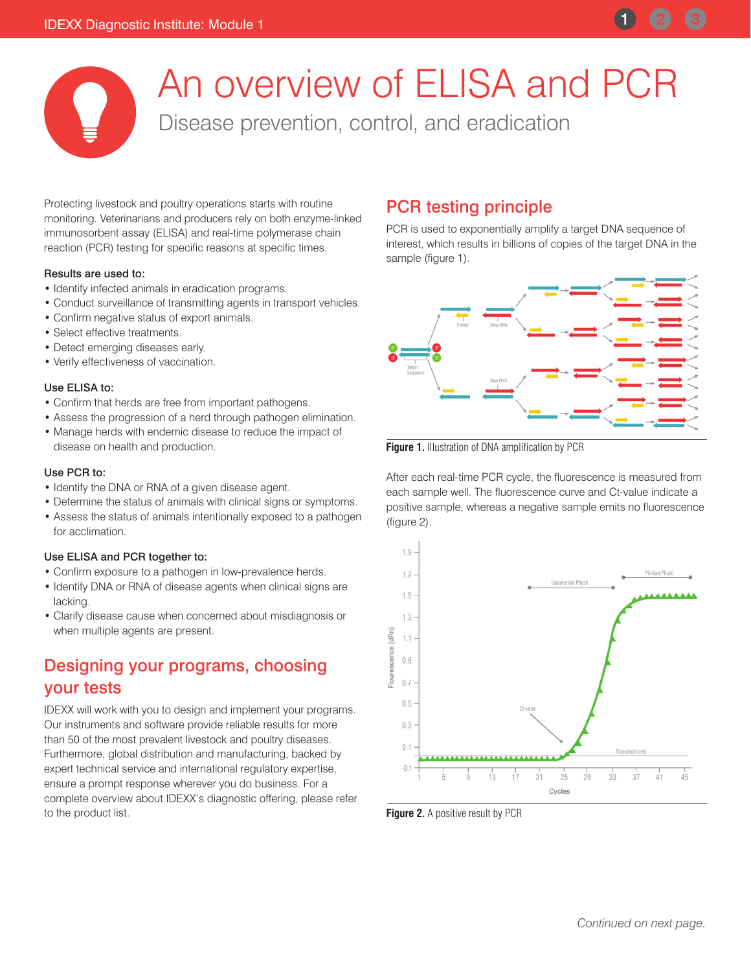

An overview of ELISA and PCR

Disease prevention, control, and eradication

Protecting livestock and poultry operations starts with routine monitoring. Veterinarians and producers rely on both enzyme-linked immunosorbent assay (ELISA) and real-time polymerase chain reaction (PCR) testing for specific reasons at specific times.

#### Results are used to:

- Identify infected animals in eradication programs.
- Conduct surveillance of transmitting agents in transport vehicles.
- Confirm negative status of export animals.
- Select effective treatments.
- Detect emerging diseases early.
- Verify effectiveness of vaccination.

#### Use ELISA to:

- Confirm that herds are free from important pathogens.
- Assess the progression of a herd through pathogen elimination.
- Manage herds with endemic disease to reduce the impact of disease on health and production.

### Use PCR to:

- Identify the DNA or RNA of a given disease agent.
- Determine the status of animals with clinical signs or symptoms.
- Assess the status of animals intentionally exposed to a pathogen for acclimation.

### Use ELISA and PCR together to:

- Confirm exposure to a pathogen in low-prevalence herds.
- Identify DNA or RNA of disease agents when clinical signs are lacking.
- Clarify disease cause when concerned about misdiagnosis or when multiple agents are present.

# Designing your programs, choosing your tests

IDEXX will work with you to design and implement your programs. Our instruments and software provide reliable results for more than 50 of the most prevalent livestock and poultry diseases. Furthermore, global distribution and manufacturing, backed by expert technical service and international regulatory expertise, ensure a prompt response wherever you do business. For a complete overview about IDEXX's diagnostic offering, please refer to the product list.

# PCR testing principle

PCR is used to exponentially amplify a target DNA sequence of interest, which results in billions of copies of the target DNA in the sample (figure 1).



**Figure 1.** Illustration of DNA amplification by PCR

After each real-time PCR cycle, the fluorescence is measured from each sample well. The fluorescence curve and Ct-value indicate a positive sample, whereas a negative sample emits no fluorescence (figure 2).



**Figure 2.** A positive result by PCR